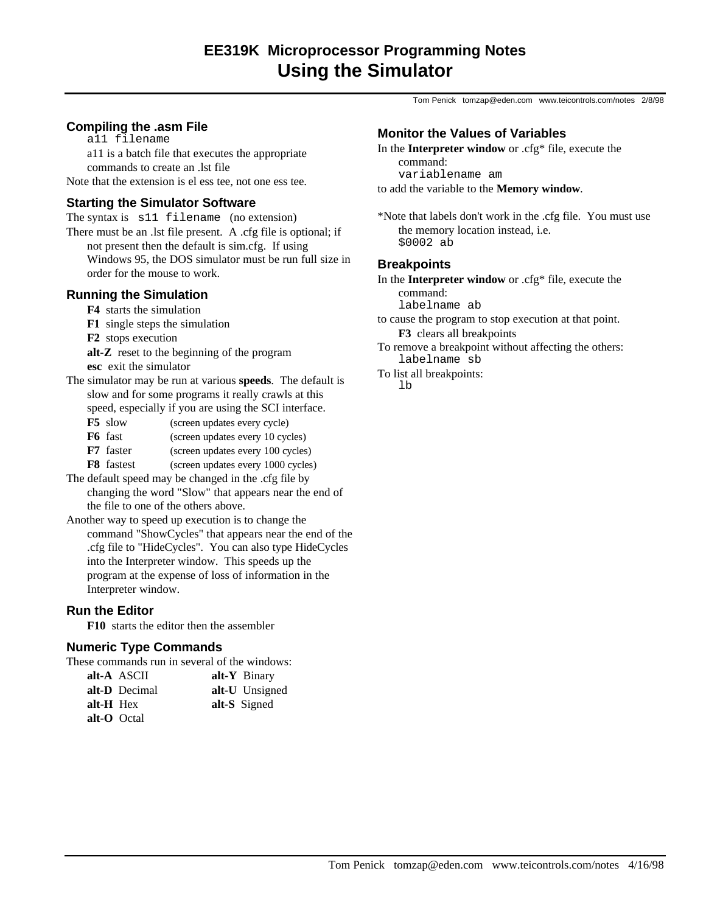Tom Penick tomzap@eden.com www.teicontrols.com/notes 2/8/98

# **Compiling the .asm File**

a11 filename

a11 is a batch file that executes the appropriate commands to create an .lst file

Note that the extension is el ess tee, not one ess tee.

# **Starting the Simulator Software**

The syntax is s11 filename (no extension) There must be an .lst file present. A .cfg file is optional; if not present then the default is sim.cfg. If using Windows 95, the DOS simulator must be run full size in order for the mouse to work.

# **Running the Simulation**

- **F4** starts the simulation
- **F1** single steps the simulation
- **F2** stops execution
- **alt-Z** reset to the beginning of the program **esc** exit the simulator
- The simulator may be run at various **speeds**. The default is slow and for some programs it really crawls at this speed, especially if you are using the SCI interface.
	- **F5** slow (screen updates every cycle)
	- **F6** fast (screen updates every 10 cycles)
	- **F7** faster (screen updates every 100 cycles)
	- **F8** fastest (screen updates every 1000 cycles)
- The default speed may be changed in the .cfg file by changing the word "Slow" that appears near the end of the file to one of the others above.
- Another way to speed up execution is to change the command "ShowCycles" that appears near the end of the .cfg file to "HideCycles". You can also type HideCycles into the Interpreter window. This speeds up the program at the expense of loss of information in the Interpreter window.

## **Run the Editor**

**F10** starts the editor then the assembler

## **Numeric Type Commands**

| These commands run in several of the windows: |  |  |  |  |
|-----------------------------------------------|--|--|--|--|
|-----------------------------------------------|--|--|--|--|

| alt-A ASCII   | $alt-Y$ Binary |
|---------------|----------------|
| alt-D Decimal | alt-U Unsigned |
| alt-H Hex     | alt-S Signed   |
| alt-O Octal   |                |

## **Monitor the Values of Variables**

In the **Interpreter window** or .cfg\* file, execute the command:

variablename am

to add the variable to the **Memory window**.

\*Note that labels don't work in the .cfg file. You must use the memory location instead, i.e. \$0002 ab

### **Breakpoints**

In the **Interpreter window** or .cfg\* file, execute the command:

labelname ab

to cause the program to stop execution at that point. **F3** clears all breakpoints

To remove a breakpoint without affecting the others: labelname sb

To list all breakpoints:

lb